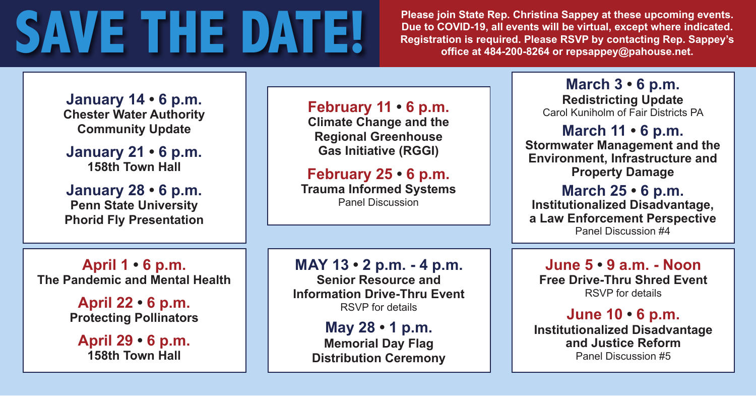# **SAVE THE DATE!** Please join State Rep. Christina Sappey at these upcoming events.<br>
Plue to COVID-19, all events will be virtual, except where indicated.<br>
Registration is required. Please RSVP by contacting Rep. Sappey's

**Due to COVID-19, all events will be virtual, except where indicated. Registration is required. Please RSVP by contacting Rep. Sappey's office at 484-200-8264 or repsappey@pahouse.net.**

**January 14 • 6 p.m. Chester Water Authority Community Update**

**January 21 • 6 p.m. 158th Town Hall**

**January 28 • 6 p.m. Penn State University Phorid Fly Presentation** **February 11 • 6 p.m.**

**Climate Change and the Regional Greenhouse Gas Initiative (RGGI)**

**February 25 • 6 p.m. Trauma Informed Systems** Panel Discussion

**April 1 • 6 p.m. The Pandemic and Mental Health**

> **April 22 • 6 p.m. Protecting Pollinators**

**April 29 • 6 p.m. 158th Town Hall**

#### **MAY 13 • 2 p.m. - 4 p.m.**

**Senior Resource and Information Drive-Thru Event** RSVP for details

> **May 28 • 1 p.m. Memorial Day Flag Distribution Ceremony**

**March 3 • 6 p.m. Redistricting Update** Carol Kuniholm of Fair Districts PA

**March 11 • 6 p.m. Stormwater Management and the Environment, Infrastructure and** 

**Property Damage**

**March 25 • 6 p.m. Institutionalized Disadvantage, a Law Enforcement Perspective** Panel Discussion #4

**June 5 • 9 a.m. - Noon Free Drive-Thru Shred Event** RSVP for details

#### **June 10 • 6 p.m.**

**Institutionalized Disadvantage and Justice Reform** Panel Discussion #5